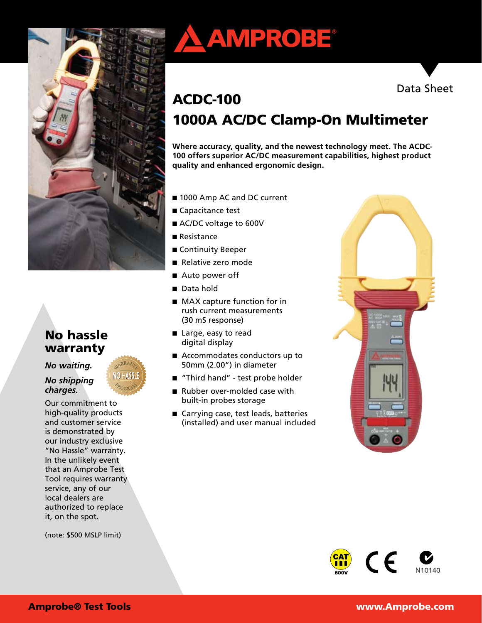

# No hassle warranty

### *No waiting.*

#### *No shipping charges.*

Our commitment to high-quality products and customer service is demonstrated by our industry exclusive "No Hassle" warranty. In the unlikely event that an Amprobe Test Tool requires warranty service, any of our local dealers are authorized to replace it, on the spot.

(note: \$500 MSLP limit)





# ACDC-100 1000A AC/DC Clamp-On Multimeter

**Where accuracy, quality, and the newest technology meet. The ACDC-100 offers superior AC/DC measurement capabilities, highest product quality and enhanced ergonomic design.** 

- 1000 Amp AC and DC current
- Capacitance test
- AC/DC voltage to 600V
- Resistance
- Continuity Beeper
- Relative zero mode
- Auto power off
- Data hold
- MAX capture function for in rush current measurements (30 mS response)
- Large, easy to read digital display
- Accommodates conductors up to 50mm (2.00") in diameter
- "Third hand" test probe holder
- Rubber over-molded case with built-in probes storage
- Carrying case, test leads, batteries (installed) and user manual included



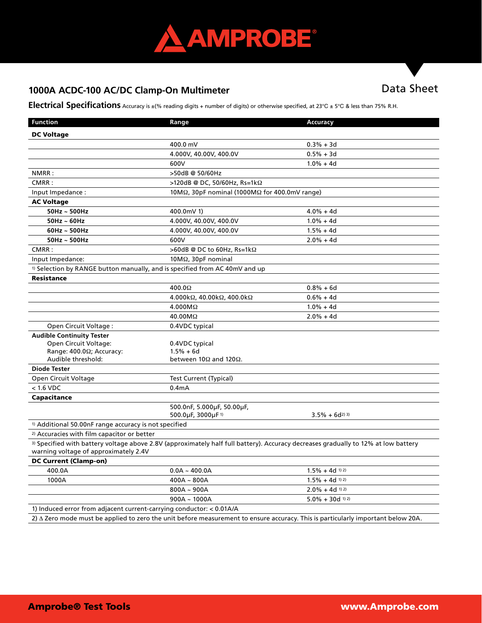

# 1000A ACDC-100 AC/DC Clamp-On Multimeter **Data Sheet**

**Electrical Specifications** Accuracy is ±(% reading digits + number of digits) or otherwise specified, at 23°C ± 5°C & less than 75% R.H.

| <b>Function</b>                                                                        | Range                                                                                                                              | <b>Accuracy</b>               |
|----------------------------------------------------------------------------------------|------------------------------------------------------------------------------------------------------------------------------------|-------------------------------|
| <b>DC Voltage</b>                                                                      |                                                                                                                                    |                               |
|                                                                                        | 400.0 mV                                                                                                                           | $0.3% + 3d$                   |
|                                                                                        | 4.000V, 40.00V, 400.0V                                                                                                             | $0.5% + 3d$                   |
|                                                                                        | 600V                                                                                                                               | $1.0% + 4d$                   |
| NMRR:                                                                                  | >50dB @ 50/60Hz                                                                                                                    |                               |
| CMRR:                                                                                  | >120dB @ DC, 50/60Hz, Rs=1kΩ                                                                                                       |                               |
| Input Impedance:                                                                       | 10M $\Omega$ , 30pF nominal (1000M $\Omega$ for 400.0mV range)                                                                     |                               |
| <b>AC Voltage</b>                                                                      |                                                                                                                                    |                               |
| $50$ Hz ~ $500$ Hz                                                                     | 400.0mV 1)                                                                                                                         | $4.0% + 4d$                   |
| $50$ Hz ~ 60Hz                                                                         | 4.000V, 40.00V, 400.0V                                                                                                             | $1.0\% + 4d$                  |
| $60$ Hz ~ $500$ Hz                                                                     | 4.000V, 40.00V, 400.0V                                                                                                             | $1.5% + 4d$                   |
| $50$ Hz ~ $500$ Hz                                                                     | 600V                                                                                                                               | $2.0% + 4d$                   |
| CMRR:                                                                                  | >60dB @ DC to 60Hz, Rs=1kΩ                                                                                                         |                               |
| Input Impedance:                                                                       | $10M\Omega$ , $30pF$ nominal                                                                                                       |                               |
| <sup>1)</sup> Selection by RANGE button manually, and is specified from AC 40mV and up |                                                                                                                                    |                               |
| Resistance                                                                             |                                                                                                                                    |                               |
|                                                                                        | $400.0\Omega$                                                                                                                      | $0.8% + 6d$                   |
|                                                                                        | 4.000k $\Omega$ , 40.00k $\Omega$ , 400.0k $\Omega$                                                                                | $0.6% + 4d$                   |
|                                                                                        | $4.000M\Omega$                                                                                                                     | $1.0% + 4d$                   |
|                                                                                        | 40.00MΩ                                                                                                                            | $2.0% + 4d$                   |
| Open Circuit Voltage:                                                                  | 0.4VDC typical                                                                                                                     |                               |
| <b>Audible Continuity Tester</b>                                                       |                                                                                                                                    |                               |
| Open Circuit Voltage:                                                                  | 0.4VDC typical                                                                                                                     |                               |
| Range: $400.0\Omega$ ; Accuracy:<br>Audible threshold:                                 | $1.5% + 6d$<br>between 10 $\Omega$ and 120 $\Omega$ .                                                                              |                               |
| <b>Diode Tester</b>                                                                    |                                                                                                                                    |                               |
| Open Circuit Voltage                                                                   | Test Current (Typical)                                                                                                             |                               |
| $< 1.6$ VDC                                                                            | 0.4 <sub>m</sub> A                                                                                                                 |                               |
| Capacitance                                                                            |                                                                                                                                    |                               |
|                                                                                        | 500.0nF, 5.000µF, 50.00µF,                                                                                                         |                               |
|                                                                                        | 500.0µF, 3000µF <sup>1)</sup>                                                                                                      | $3.5\% + 6d^{2}$              |
| <sup>1)</sup> Additional 50.00nF range accuracy is not specified                       |                                                                                                                                    |                               |
| <sup>2)</sup> Accuracies with film capacitor or better                                 |                                                                                                                                    |                               |
| warning voltage of approximately 2.4V                                                  | 3) Specified with battery voltage above 2.8V (approximately half full battery). Accuracy decreases gradually to 12% at low battery |                               |
| <b>DC Current (Clamp-on)</b>                                                           |                                                                                                                                    |                               |
| 400.0A                                                                                 | $0.0A - 400.0A$                                                                                                                    | $1.5\% + 4d$ 1) 2)            |
| 1000A                                                                                  | $400A - 800A$                                                                                                                      | $1.5\% + 4d$ <sup>1) 2)</sup> |
|                                                                                        | $800A - 900A$                                                                                                                      | $2.0\% + 4d$ 1) 2)            |
|                                                                                        | $900A - 1000A$                                                                                                                     | $5.0\% + 30d$ 1) 2)           |
| 1) Induced error from adjacent current-carrying conductor: < 0.01A/A                   |                                                                                                                                    |                               |
|                                                                                        | 2) A Zero mode must be applied to zero the unit before measurement to ensure accuracy. This is particularly important below 20A.   |                               |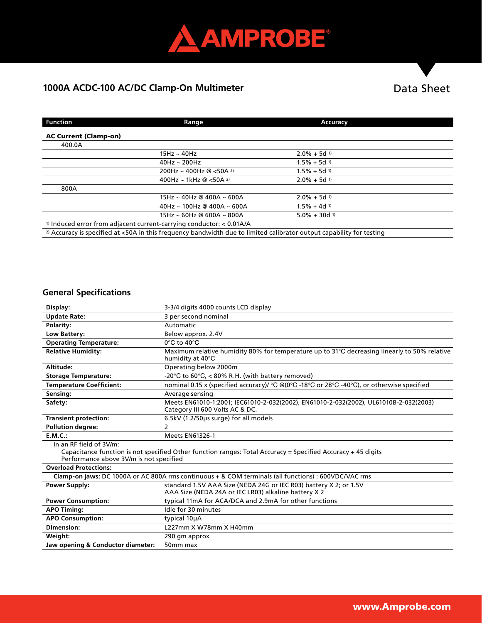

# 1000A ACDC-100 AC/DC Clamp-On Multimeter **Data Sheet**

| <b>Function</b>                                                                                                                 | Range                                | Accuracy                    |
|---------------------------------------------------------------------------------------------------------------------------------|--------------------------------------|-----------------------------|
| <b>AC Current (Clamp-on)</b>                                                                                                    |                                      |                             |
| 400.0A                                                                                                                          |                                      |                             |
|                                                                                                                                 | $15Hz \sim 40Hz$                     | $2.0\% + 5d$ 1)             |
|                                                                                                                                 | $40$ Hz ~ 200Hz                      | $1.5\% + 5d$ 1)             |
|                                                                                                                                 | 200Hz ~ 400Hz @ $<$ 50A 2)           | $1.5\% + 5d$ 1)             |
|                                                                                                                                 | 400Hz ~ 1kHz @ $<$ 50A <sup>2)</sup> | $2.0\% + 5d$ <sup>1)</sup>  |
| 800A                                                                                                                            |                                      |                             |
|                                                                                                                                 | 15Hz ~ 40Hz @ 400A ~ 600A            | $2.0\% + 5d$ 1)             |
|                                                                                                                                 | $40$ Hz ~ 100Hz @ 400A ~ 600A        | $1.5\% + 4d$ 1)             |
|                                                                                                                                 | $15Hz \sim 60Hz$ @ 600A ~ 800A       | $5.0\% + 30d$ <sup>1)</sup> |
| <sup>1)</sup> Induced error from adjacent current-carrying conductor: $< 0.01A/A$                                               |                                      |                             |
| <sup>2)</sup> Accuracy is specified at <50A in this frequency bandwidth due to limited calibrator output capability for testing |                                      |                             |

### **General Specifications**

| Display:                                                                                                                                                                           | 3-3/4 digits 4000 counts LCD display                                                                                      |  |
|------------------------------------------------------------------------------------------------------------------------------------------------------------------------------------|---------------------------------------------------------------------------------------------------------------------------|--|
| <b>Update Rate:</b>                                                                                                                                                                | 3 per second nominal                                                                                                      |  |
| Polarity:                                                                                                                                                                          | Automatic                                                                                                                 |  |
| Low Battery:                                                                                                                                                                       | Below approx. 2.4V                                                                                                        |  |
| <b>Operating Temperature:</b>                                                                                                                                                      | $0^{\circ}$ C to $40^{\circ}$ C                                                                                           |  |
| <b>Relative Humidity:</b>                                                                                                                                                          | Maximum relative humidity 80% for temperature up to 31°C decreasing linearly to 50% relative<br>humidity at 40°C          |  |
| Altitude:                                                                                                                                                                          | Operating below 2000m                                                                                                     |  |
| <b>Storage Temperature:</b>                                                                                                                                                        | -20°C to 60°C, < 80% R.H. (with battery removed)                                                                          |  |
| <b>Temperature Coefficient:</b>                                                                                                                                                    | nominal 0.15 x (specified accuracy)/ °C @(0°C -18°C or 28°C -40°C), or otherwise specified                                |  |
| Sensing:                                                                                                                                                                           | Average sensing                                                                                                           |  |
| Safety:                                                                                                                                                                            | Meets EN61010-1:2001; IEC61010-2-032(2002), EN61010-2-032(2002), UL61010B-2-032(2003)<br>Category III 600 Volts AC & DC.  |  |
| <b>Transient protection:</b>                                                                                                                                                       | 6.5kV (1.2/50µs surge) for all models                                                                                     |  |
| <b>Pollution degree:</b>                                                                                                                                                           | 2                                                                                                                         |  |
| E.M.C.:                                                                                                                                                                            | <b>Meets EN61326-1</b>                                                                                                    |  |
| In an RF field of 3V/m:<br>Capacitance function is not specified Other function ranges: Total Accuracy = Specified Accuracy + 45 digits<br>Performance above 3V/m is not specified |                                                                                                                           |  |
| <b>Overload Protections:</b>                                                                                                                                                       |                                                                                                                           |  |
| Clamp-on jaws: DC 1000A or AC 800A rms continuous + & COM terminals (all functions) : 600VDC/VAC rms                                                                               |                                                                                                                           |  |
| <b>Power Supply:</b>                                                                                                                                                               | standard 1.5V AAA Size (NEDA 24G or IEC R03) battery X 2; or 1.5V<br>AAA Size (NEDA 24A or IEC LR03) alkaline battery X 2 |  |
| <b>Power Consumption:</b>                                                                                                                                                          | typical 11mA for ACA/DCA and 2.9mA for other functions                                                                    |  |
| <b>APO Timing:</b>                                                                                                                                                                 | Idle for 30 minutes                                                                                                       |  |
| <b>APO Consumption:</b>                                                                                                                                                            | typical 10µA                                                                                                              |  |
| <b>Dimension:</b>                                                                                                                                                                  | L227mm X W78mm X H40mm                                                                                                    |  |
| Weight:                                                                                                                                                                            | 290 qm approx                                                                                                             |  |
| Jaw opening & Conductor diameter:                                                                                                                                                  | 50mm max                                                                                                                  |  |